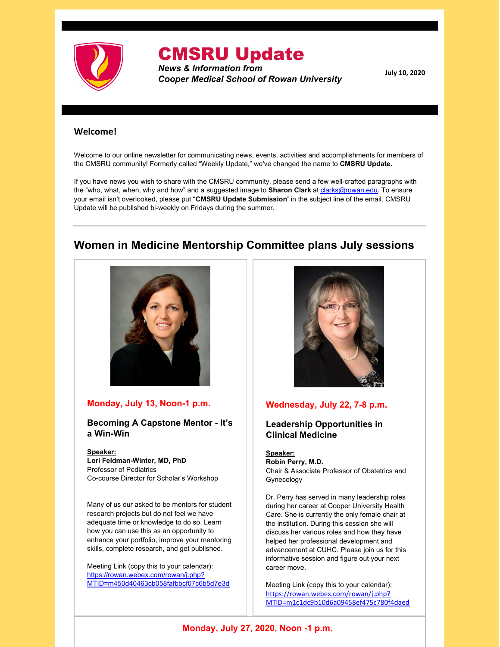

# CMSRU Update

*News & Information from Cooper Medical School of Rowan University*

**July 10, 2020**

#### **Welcome!**

Welcome to our online newsletter for communicating news, events, activities and accomplishments for members of the CMSRU community! Formerly called "Weekly Update," we've changed the name to **CMSRU Update.**

If you have news you wish to share with the CMSRU community, please send a few well-crafted paragraphs with the "who, what, when, why and how" and a suggested image to **Sharon Clark** at [clarks@rowan.edu](mailto:clarks@rowan.edu). To ensure your email isn't overlooked, please put "**CMSRU Update Submission**" in the subject line of the email. CMSRU Update will be published bi-weekly on Fridays during the summer.

### **Women in Medicine Mentorship Committee plans July sessions**



#### **Monday, July 13, Noon-1 p.m.**

**Becoming A Capstone Mentor - It's a Win-Win**

**Speaker: Lori Feldman-Winter, MD, PhD** Professor of Pediatrics Co-course Director for Scholar's Workshop

Many of us our asked to be mentors for student research projects but do not feel we have adequate time or knowledge to do so. Learn how you can use this as an opportunity to enhance your portfolio, improve your mentoring skills, complete research, and get published.

Meeting Link (copy this to your calendar): https://rowan.webex.com/rowan/j.php? [MTID=m450d40463cb058fafbbcf07c6b5d7e3d](https://rowan.webex.com/rowan/j.php?MTID=m450d40463cb058fafbbcf07c6b5d7e3d)



#### **Wednesday, July 22, 7-8 p.m.**

#### **Leadership Opportunities in Clinical Medicine**

**Speaker: Robin Perry, M.D.** Chair & Associate Professor of Obstetrics and Gynecology

Dr. Perry has served in many leadership roles during her career at Cooper University Health Care. She is currently the only female chair at the institution. During this session she will discuss her various roles and how they have helped her professional development and advancement at CUHC. Please join us for this informative session and figure out your next career move.

Meeting Link (copy this to your calendar): https://rowan.webex.com/rowan/j.php? [MTID=m1c1dc9b10d6a09458ef475c780f4daed](https://rowan.webex.com/rowan/j.php?MTID=m1c1dc9b10d6a09458ef475c780f4daed)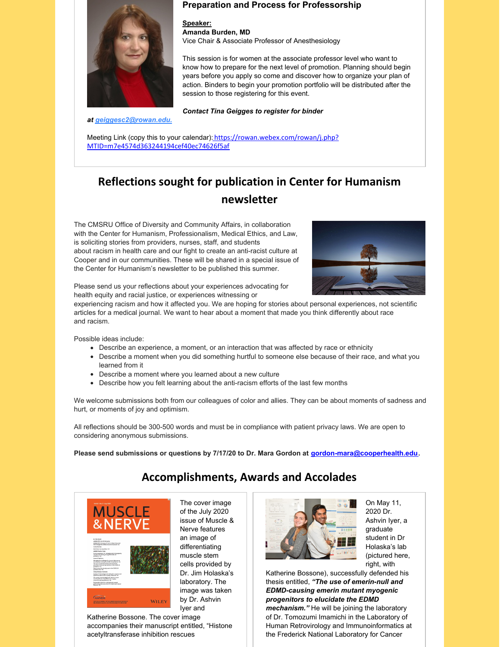

*at [geiggesc2@rowan.e](mailto:geiggesc2@rowan.edu)du.*

#### **Preparation and Process for Professorship**

**Speaker: Amanda Burden, MD** Vice Chair & Associate Professor of Anesthesiology

This session is for women at the associate professor level who want to know how to prepare for the next level of promotion. Planning should begin years before you apply so come and discover how to organize your plan of action. Binders to begin your promotion portfolio will be distributed after the session to those registering for this event.

*Contact Tina Geigges to register for binder*

Meeting Link (copy this to your calendar): [https://rowan.webex.com/rowan/j.php?](https://rowan.webex.com/rowan/j.php?MTID=m7e4574d363244194cef40ec74626f5af) MTID=m7e4574d363244194cef40ec74626f5af

## **Reflections sought for publication in Center for Humanism newsletter**

The CMSRU Office of Diversity and Community Affairs, in collaboration with the Center for Humanism, Professionalism, Medical Ethics, and Law, is soliciting stories from providers, nurses, staff, and students about racism in health care and our fight to create an anti-racist culture at Cooper and in our communities. These will be shared in a special issue of the Center for Humanism's newsletter to be published this summer.



Please send us your reflections about your experiences advocating for health equity and racial justice, or experiences witnessing or

experiencing racism and how it affected you. We are hoping for stories about personal experiences, not scientific articles for a medical journal. We want to hear about a moment that made you think differently about race and racism.

Possible ideas include:

- Describe an experience, a moment, or an interaction that was affected by race or ethnicity
- Describe a moment when you did something hurtful to someone else because of their race, and what you learned from it
- Describe a moment where you learned about a new culture
- Describe how you felt learning about the anti-racism efforts of the last few months

We welcome submissions both from our colleagues of color and allies. They can be about moments of sadness and hurt, or moments of joy and optimism.

All reflections should be 300-500 words and must be in compliance with patient privacy laws. We are open to considering anonymous submissions.

**Please send submissions or questions by 7/17/20 to Dr. Mara Gordon at [gordon-mara@cooperhealth.edu](mailto:gordon-mara@cooperhealth.edu).**

## **Accomplishments, Awards and Accolades**



The cover image of the July 2020 issue of Muscle & Nerve features an image of differentiating muscle stem cells provided by Dr. Jim Holaska's laboratory. The image was taken by Dr. Ashvin Iyer and

Katherine Bossone. The cover image accompanies their manuscript entitled, "Histone acetyltransferase inhibition rescues



On May 11, 2020 Dr. Ashvin Iyer, a graduate student in Dr Holaska's lab (pictured here, right, with

Katherine Bossone), successfully defended his thesis entitled, *"The use of emerin-null and EDMD-causing emerin mutant myogenic progenitors to elucidate the EDMD*

*mechanism."* He will be joining the laboratory of Dr. Tomozumi Imamichi in the Laboratory of Human Retrovirology and Immunoinformatics at the Frederick National Laboratory for Cancer